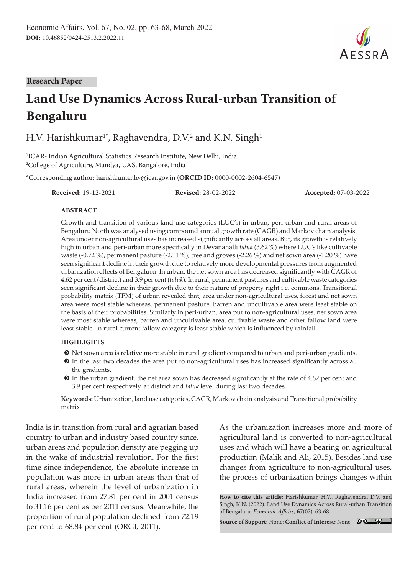

# **Land Use Dynamics Across Rural-urban Transition of Bengaluru**

H.V. Harishkumar $^{\rm 1*}$ , Raghavendra, D.V. $^{\rm 2}$  and K.N. Singh $^{\rm 1}$ 

1 ICAR- Indian Agricultural Statistics Research Institute, New Delhi, India 2 College of Agriculture, Mandya, UAS, Bangalore, India

\*Corresponding author: harishkumar.hv@icar.gov.in (**ORCID ID:** 0000-0002-2604-6547)

**Received:** 19-12-2021 **Revised:** 28-02-2022 **Accepted:** 07-03-2022

#### **ABSTRACT**

Growth and transition of various land use categories (LUC's) in urban, peri-urban and rural areas of Bengaluru North was analysed using compound annual growth rate (CAGR) and Markov chain analysis. Area under non-agricultural uses has increased significantly across all areas. But, its growth is relatively high in urban and peri-urban more specifically in Devanahalli *taluk* (3.62 %) where LUC's like cultivable waste (-0.72 %), permanent pasture (-2.11 %), tree and groves (-2.26 %) and net sown area (-1.20 %) have seen significant decline in their growth due to relatively more developmental pressures from augmented urbanization effects of Bengaluru. In urban, the net sown area has decreased significantly with CAGR of 4.62 per cent (district) and 3.9 per cent (*taluk*). In rural, permanent pastures and cultivable waste categories seen significant decline in their growth due to their nature of property right i.e. commons. Transitional probability matrix (TPM) of urban revealed that, area under non-agricultural uses, forest and net sown area were most stable whereas, permanent pasture, barren and uncultivable area were least stable on the basis of their probabilities. Similarly in peri-urban, area put to non-agricultural uses, net sown area were most stable whereas, barren and uncultivable area, cultivable waste and other fallow land were least stable. In rural current fallow category is least stable which is influenced by rainfall.

#### **HIGHLIGHTS**

- $\bullet$  Net sown area is relative more stable in rural gradient compared to urban and peri-urban gradients.
- $\odot$  In the last two decades the area put to non-agricultural uses has increased significantly across all the gradients.
- $\odot$  In the urban gradient, the net area sown has decreased significantly at the rate of 4.62 per cent and 3.9 per cent respectively, at district and *taluk* level during last two decades.

**Keywords:** Urbanization, land use categories, CAGR, Markov chain analysis and Transitional probability matrix

India is in transition from rural and agrarian based country to urban and industry based country since, urban areas and population density are pegging up in the wake of industrial revolution. For the first time since independence, the absolute increase in population was more in urban areas than that of rural areas, wherein the level of urbanization in India increased from 27.81 per cent in 2001 census to 31.16 per cent as per 2011 census. Meanwhile, the proportion of rural population declined from 72.19 per cent to 68.84 per cent (ORGI, 2011).

As the urbanization increases more and more of agricultural land is converted to non-agricultural uses and which will have a bearing on agricultural production (Malik and Ali, 2015). Besides land use changes from agriculture to non-agricultural uses, the process of urbanization brings changes within

**How to cite this article:** Harishkumar, H.V., Raghavendra, D.V. and Singh, K.N. (2022). Land Use Dynamics Across Rural-urban Transition of Bengaluru. *Economic Affairs,* **67**(02): 63-68.

**Source of Support:** None; **Conflict of Interest:** None



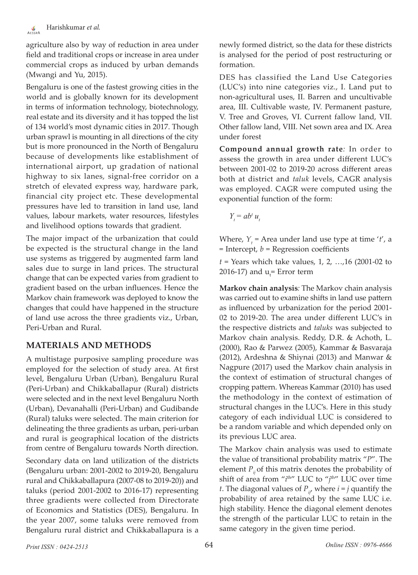agriculture also by way of reduction in area under field and traditional crops or increase in area under commercial crops as induced by urban demands (Mwangi and Yu, 2015).

Bengaluru is one of the fastest growing cities in the world and is globally known for its development in terms of information technology, biotechnology, real estate and its diversity and it has topped the list of 134 world's most dynamic cities in 2017. Though urban sprawl is mounting in all directions of the city but is more pronounced in the North of Bengaluru because of developments like establishment of international airport, up gradation of national highway to six lanes, signal-free corridor on a stretch of elevated express way, hardware park, financial city project etc. These developmental pressures have led to transition in land use, land values, labour markets, water resources, lifestyles and livelihood options towards that gradient.

The major impact of the urbanization that could be expected is the structural change in the land use systems as triggered by augmented farm land sales due to surge in land prices. The structural change that can be expected varies from gradient to gradient based on the urban influences. Hence the Markov chain framework was deployed to know the changes that could have happened in the structure of land use across the three gradients viz., Urban, Peri-Urban and Rural.

## **MATERIALS AND METHODS**

A multistage purposive sampling procedure was employed for the selection of study area. At first level, Bengaluru Urban (Urban), Bengaluru Rural (Peri-Urban) and Chikkaballapur (Rural) districts were selected and in the next level Bengaluru North (Urban), Devanahalli (Peri-Urban) and Gudibande (Rural) taluks were selected. The main criterion for delineating the three gradients as urban, peri-urban and rural is geographical location of the districts from centre of Bengaluru towards North direction.

Secondary data on land utilization of the districts (Bengaluru urban: 2001-2002 to 2019-20, Bengaluru rural and Chikkaballapura (2007-08 to 2019-20)) and taluks (period 2001-2002 to 2016-17) representing three gradients were collected from Directorate of Economics and Statistics (DES), Bengaluru. In the year 2007, some taluks were removed from Bengaluru rural district and Chikkaballapura is a

newly formed district, so the data for these districts is analysed for the period of post restructuring or formation.

DES has classified the Land Use Categories (LUC's) into nine categories viz., I. Land put to non-agricultural uses, II. Barren and uncultivable area, III. Cultivable waste, IV. Permanent pasture, V. Tree and Groves, VI. Current fallow land, VII. Other fallow land, VIII. Net sown area and IX. Area under forest

**Compound annual growth rate***:* In order to assess the growth in area under different LUC's between 2001-02 to 2019-20 across different areas both at district and *taluk* levels, CAGR analysis was employed. CAGR were computed using the exponential function of the form:

 $Y_t = ab^t u_t$ 

Where,  $Y_t$  = Area under land use type at time '*t'*, a = Intercept, *b* = Regression coefficients

*t* = Years which take values, 1, 2, …,16 (2001-02 to 2016-17) and  $u_t$ = Error term

**Markov chain analysis***:* The Markov chain analysis was carried out to examine shifts in land use pattern as influenced by urbanization for the period 2001- 02 to 2019-20. The area under different LUC's in the respective districts and *taluks* was subjected to Markov chain analysis. Reddy, D.R. & Achoth, L. (2000), Rao & Parwez (2005), Kammar & Basvaraja (2012), Ardeshna & Shiynai (2013) and Manwar & Nagpure (2017) used the Markov chain analysis in the context of estimation of structural changes of cropping pattern. Whereas Kammar (2010) has used the methodology in the context of estimation of structural changes in the LUC's. Here in this study category of each individual LUC is considered to be a random variable and which depended only on its previous LUC area.

The Markov chain analysis was used to estimate the value of transitional probability matrix "*P*". The element  $P_i$  of this matrix denotes the probability of shift of area from "*i*<sup>th</sup>" LUC to "*j*<sup>th</sup>" LUC over time *t*. The diagonal values of  $P_{ij}$  where  $i = j$  quantify the probability of area retained by the same LUC i.e. high stability. Hence the diagonal element denotes the strength of the particular LUC to retain in the same category in the given time period.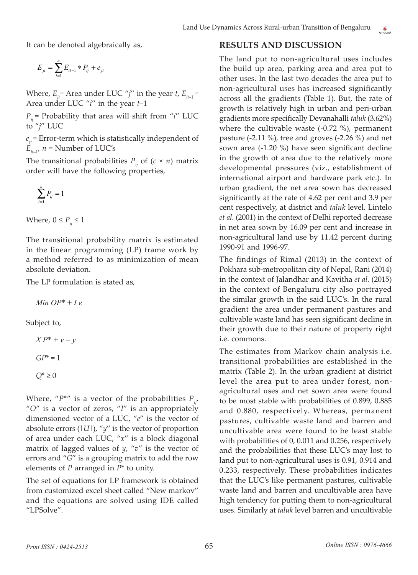It can be denoted algebraically as,

$$
E_{jt} = \sum_{i=1}^{n} E_{it-1} * P_{ij} + e_{jt}
$$

Where,  $E_{it}$  = Area under LUC "*j*" in the year *t*,  $E_{it-1}$  = Area under LUC "*i*" in the year *t*–1

 $P_i$  = Probability that area will shift from "*i*" LUC to "*j*" LUC

 $e_{i}$  = Error-term which is statistically independent of  $E_{i+1}$ ,  $n =$  Number of LUC's

The transitional probabilities  $P_{ij}$  of  $(c \times n)$  matrix order will have the following properties,

$$
\sum_{i=1}^n P_{ij} = 1
$$

Where,  $0 \leq P_{ij} \leq 1$ 

The transitional probability matrix is estimated in the linear programming (LP) frame work by a method referred to as minimization of mean absolute deviation.

The LP formulation is stated as,

*Min OP*\* + *I e*

Subject to,

$$
XP^* + v = y
$$

$$
GP^* = 1
$$

$$
Q^* \ge 0
$$

Where, " $P^{*\prime\prime}$  is a vector of the probabilities  $P_{ij}$ , "*O*" is a vector of zeros, "*I*" is an appropriately dimensioned vector of a LUC, "*e*" is the vector of absolute errors  $(|U|)$ , " $y$ " is the vector of proportion of area under each LUC, "*x*" is a block diagonal matrix of lagged values of *y*, "*v*" is the vector of errors and "*G*" is a grouping matrix to add the row elements of *P* arranged in *P*\* to unity.

The set of equations for LP framework is obtained from customized excel sheet called "New markov" and the equations are solved using IDE called "LPSolve".

#### **RESULTS AND DISCUSSION**

The land put to non-agricultural uses includes the build up area, parking area and area put to other uses. In the last two decades the area put to non-agricultural uses has increased significantly across all the gradients (Table 1). But, the rate of growth is relatively high in urban and peri-urban gradients more specifically Devanahalli *taluk* (3.62%) where the cultivable waste  $(-0.72 \%)$ , permanent pasture (-2.11 %), tree and groves (-2.26 %) and net sown area (-1.20 %) have seen significant decline in the growth of area due to the relatively more developmental pressures (viz., establishment of international airport and hardware park etc.). In urban gradient, the net area sown has decreased significantly at the rate of 4.62 per cent and 3.9 per cent respectively, at district and *taluk* level. Lintelo *et al.* (2001) in the context of Delhi reported decrease in net area sown by 16.09 per cent and increase in non-agricultural land use by 11.42 percent during 1990-91 and 1996-97.

The findings of Rimal (2013) in the context of Pokhara sub-metropolitan city of Nepal, Rani (2014) in the context of Jalandhar and Kavitha *et al.* (2015) in the context of Bengaluru city also portrayed the similar growth in the said LUC's. In the rural gradient the area under permanent pastures and cultivable waste land has seen significant decline in their growth due to their nature of property right i.e. commons.

The estimates from Markov chain analysis i.e. transitional probabilities are established in the matrix (Table 2). In the urban gradient at district level the area put to area under forest, nonagricultural uses and net sown area were found to be most stable with probabilities of 0.899, 0.885 and 0.880, respectively. Whereas, permanent pastures, cultivable waste land and barren and uncultivable area were found to be least stable with probabilities of 0, 0.011 and 0.256, respectively and the probabilities that these LUC's may lost to land put to non-agricultural uses is 0.91, 0.914 and 0.233, respectively. These probabilities indicates that the LUC's like permanent pastures, cultivable waste land and barren and uncultivable area have high tendency for putting them to non-agricultural uses. Similarly at *taluk* level barren and uncultivable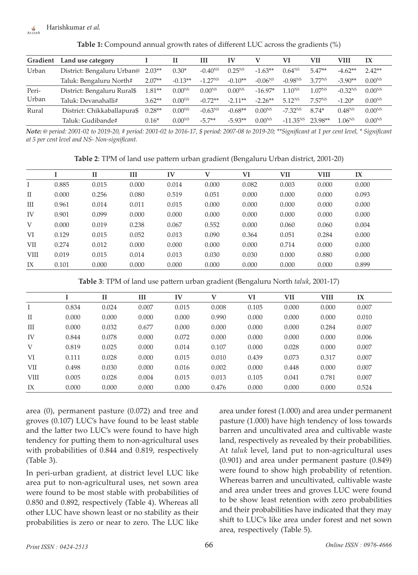#### Harishkumar *et al.*  $\frac{\sqrt{v}}{\Delta E C C D \Delta}$

| Gradient       | Land use category           |          | и           | ш            | IV          | v            | VI                 | VII                | VIII         | IX                 |
|----------------|-----------------------------|----------|-------------|--------------|-------------|--------------|--------------------|--------------------|--------------|--------------------|
| Urban          | District: Bengaluru Urban@  | $2.03**$ | $0.30*$     | $-0.40^{NS}$ | $0.25^{NS}$ | $-1.63**$    | $0.64^{NS}$        | $5.47**$           | $-4.62**$    | $2.42**$           |
|                | Taluk: Bengaluru North#     | $2.07**$ | $-0.13**$   | $-1.27NS$    | $-0.10**$   | $-0.06^{NS}$ | $-0.98^{NS}$       | 3.77 <sup>NS</sup> | $-3.90**$    | $0.00^{NS}$        |
| Peri-<br>Urban | District: Bengaluru Rural\$ | $1.81**$ | $0.00^{NS}$ | $0.00^{N_S}$ | $0.00^{NS}$ | $-16.97*$    | $1.10^{NS}$        | 1.07 <sup>NS</sup> | $-0.32^{NS}$ | $0.00^{NS}$        |
|                | Taluk: Devanahalli#         | $3.62**$ | $0.00^{NS}$ | $-0.72**$    | $-2.11**$   | $-2.26**$    | 5.12 <sub>NS</sub> | 7.57 <sup>NS</sup> | $-1.20*$     | $0.00^{NS}$        |
| Rural          | District: Chikkaballapura\$ | $0.28**$ | $0.00^{NS}$ | $-0.63^{NS}$ | $-0.68**$   | $0.00^{NS}$  | $-7.32NS$          | 8.74*              | $0.48^{NS}$  | 0.00 <sup>NS</sup> |
|                | Taluk: Gudibande#           | $0.16*$  | $0.00^{NS}$ | $-5.7**$     | $-5.93**$   | $0.00^{NS}$  | $-11.35NS$         | 23.98**            | $1.06^{NS}$  | $0.00^{NS}$        |

**Table 1:** Compound annual growth rates of different LUC across the gradients (%)

*Note: @ period: 2001-02 to 2019-20, # period: 2001-02 to 2016-17, \$ period: 2007-08 to 2019-20; \*\*Significant at 1 per cent level, \* Significant at 5 per cent level and NS- Non-significant.*

**Table 2**: TPM of land use pattern urban gradient (Bengaluru Urban district, 2001-20)

|             |       | $\mathbf{I}$ | Ш     | IV    | v     | VI    | VII   | <b>VIII</b> | IX    |
|-------------|-------|--------------|-------|-------|-------|-------|-------|-------------|-------|
|             | 0.885 | 0.015        | 0.000 | 0.014 | 0.000 | 0.082 | 0.003 | 0.000       | 0.000 |
| $_{\rm II}$ | 0.000 | 0.256        | 0.080 | 0.519 | 0.051 | 0.000 | 0.000 | 0.000       | 0.093 |
| Ш           | 0.961 | 0.014        | 0.011 | 0.015 | 0.000 | 0.000 | 0.000 | 0.000       | 0.000 |
| IV          | 0.901 | 0.099        | 0.000 | 0.000 | 0.000 | 0.000 | 0.000 | 0.000       | 0.000 |
| V           | 0.000 | 0.019        | 0.238 | 0.067 | 0.552 | 0.000 | 0.060 | 0.060       | 0.004 |
| VI          | 0.129 | 0.015        | 0.052 | 0.013 | 0.090 | 0.364 | 0.051 | 0.284       | 0.000 |
| VІІ         | 0.274 | 0.012        | 0.000 | 0.000 | 0.000 | 0.000 | 0.714 | 0.000       | 0.000 |
| <b>VIII</b> | 0.019 | 0.015        | 0.014 | 0.013 | 0.030 | 0.030 | 0.000 | 0.880       | 0.000 |
| IX          | 0.101 | 0.000        | 0.000 | 0.000 | 0.000 | 0.000 | 0.000 | 0.000       | 0.899 |

**Table 3**: TPM of land use pattern urban gradient (Bengaluru North *taluk*, 2001-17)

|             |       | $_{\rm II}$ | Ш     | IV    | V     | VI    | <b>VII</b> | VIII  | IX    |
|-------------|-------|-------------|-------|-------|-------|-------|------------|-------|-------|
|             | 0.834 | 0.024       | 0.007 | 0.015 | 0.008 | 0.105 | 0.000      | 0.000 | 0.007 |
| $_{\rm II}$ | 0.000 | 0.000       | 0.000 | 0.000 | 0.990 | 0.000 | 0.000      | 0.000 | 0.010 |
| III         | 0.000 | 0.032       | 0.677 | 0.000 | 0.000 | 0.000 | 0.000      | 0.284 | 0.007 |
| IV          | 0.844 | 0.078       | 0.000 | 0.072 | 0.000 | 0.000 | 0.000      | 0.000 | 0.006 |
| V           | 0.819 | 0.025       | 0.000 | 0.014 | 0.107 | 0.000 | 0.028      | 0.000 | 0.007 |
| VI          | 0.111 | 0.028       | 0.000 | 0.015 | 0.010 | 0.439 | 0.073      | 0.317 | 0.007 |
| VII         | 0.498 | 0.030       | 0.000 | 0.016 | 0.002 | 0.000 | 0.448      | 0.000 | 0.007 |
| <b>VIII</b> | 0.005 | 0.028       | 0.004 | 0.015 | 0.013 | 0.105 | 0.041      | 0.781 | 0.007 |
| IX          | 0.000 | 0.000       | 0.000 | 0.000 | 0.476 | 0.000 | 0.000      | 0.000 | 0.524 |

area (0), permanent pasture (0.072) and tree and groves (0.107) LUC's have found to be least stable and the latter two LUC's were found to have high tendency for putting them to non-agricultural uses with probabilities of 0.844 and 0.819, respectively (Table 3).

In peri-urban gradient, at district level LUC like area put to non-agricultural uses, net sown area were found to be most stable with probabilities of 0.850 and 0.892, respectively (Table 4). Whereas all other LUC have shown least or no stability as their probabilities is zero or near to zero. The LUC like area under forest (1.000) and area under permanent pasture (1.000) have high tendency of loss towards barren and uncultivated area and cultivable waste land, respectively as revealed by their probabilities. At *taluk* level, land put to non-agricultural uses (0.901) and area under permanent pasture (0.849) were found to show high probability of retention. Whereas barren and uncultivated, cultivable waste and area under trees and groves LUC were found to be show least retention with zero probabilities and their probabilities have indicated that they may shift to LUC's like area under forest and net sown area, respectively (Table 5).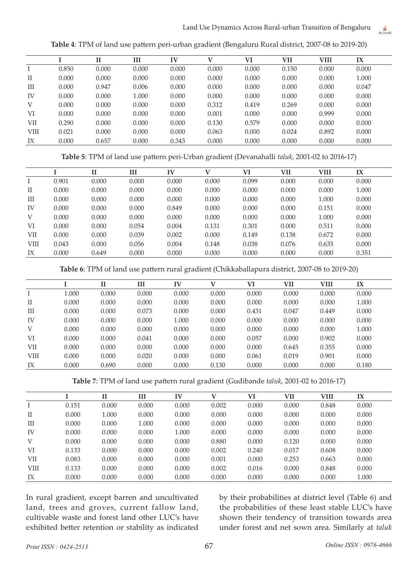AESSRA

|             |       | $_{II}$ | Ш     | IV    | v     | VI    | VII   | <b>VIII</b> | IX    |  |
|-------------|-------|---------|-------|-------|-------|-------|-------|-------------|-------|--|
|             | 0.850 | 0.000   | 0.000 | 0.000 | 0.000 | 0.000 | 0.150 | 0.000       | 0.000 |  |
| $\rm II$    | 0.000 | 0.000   | 0.000 | 0.000 | 0.000 | 0.000 | 0.000 | 0.000       | 1.000 |  |
| Ш           | 0.000 | 0.947   | 0.006 | 0.000 | 0.000 | 0.000 | 0.000 | 0.000       | 0.047 |  |
| IV          | 0.000 | 0.000   | 1.000 | 0.000 | 0.000 | 0.000 | 0.000 | 0.000       | 0.000 |  |
| V           | 0.000 | 0.000   | 0.000 | 0.000 | 0.312 | 0.419 | 0.269 | 0.000       | 0.000 |  |
| VI          | 0.000 | 0.000   | 0.000 | 0.000 | 0.001 | 0.000 | 0.000 | 0.999       | 0.000 |  |
| VІІ         | 0.290 | 0.000   | 0.000 | 0.000 | 0.130 | 0.579 | 0.000 | 0.000       | 0.000 |  |
| <b>VIII</b> | 0.021 | 0.000   | 0.000 | 0.000 | 0.063 | 0.000 | 0.024 | 0.892       | 0.000 |  |
| IX          | 0.000 | 0.657   | 0.000 | 0.343 | 0.000 | 0.000 | 0.000 | 0.000       | 0.000 |  |
|             |       |         |       |       |       |       |       |             |       |  |

**Table 4**: TPM of land use pattern peri-urban gradient (Bengaluru Rural district, 2007-08 to 2019-20)

**Table 5**: TPM of land use pattern peri-Urban gradient (Devanahalli *taluk*, 2001-02 to 2016-17)

|             |       | $\mathbf{I}$ | Ш     | $I\mathbf{V}$ | v     | VI    | VII   | <b>VIII</b> | IX    |
|-------------|-------|--------------|-------|---------------|-------|-------|-------|-------------|-------|
|             | 0.901 | 0.000        | 0.000 | 0.000         | 0.000 | 0.099 | 0.000 | 0.000       | 0.000 |
| $_{\rm II}$ | 0.000 | 0.000        | 0.000 | 0.000         | 0.000 | 0.000 | 0.000 | 0.000       | 1.000 |
| Ш           | 0.000 | 0.000        | 0.000 | 0.000         | 0.000 | 0.000 | 0.000 | 1.000       | 0.000 |
| IV          | 0.000 | 0.000        | 0.000 | 0.849         | 0.000 | 0.000 | 0.000 | 0.151       | 0.000 |
| V           | 0.000 | 0.000        | 0.000 | 0.000         | 0.000 | 0.000 | 0.000 | 1.000       | 0.000 |
| VI          | 0.000 | 0.000        | 0.054 | 0.004         | 0.131 | 0.301 | 0.000 | 0.511       | 0.000 |
| VII         | 0.000 | 0.000        | 0.039 | 0.002         | 0.000 | 0.149 | 0.138 | 0.672       | 0.000 |
| <b>VIII</b> | 0.043 | 0.000        | 0.056 | 0.004         | 0.148 | 0.038 | 0.076 | 0.635       | 0.000 |
| IX          | 0.000 | 0.649        | 0.000 | 0.000         | 0.000 | 0.000 | 0.000 | 0.000       | 0.351 |

**Table 6**: TPM of land use pattern rural gradient (Chikkaballapura district, 2007-08 to 2019-20)

|             |       | $\mathbf{I}$ | Ш     | IV    | v     | VI    | <b>VII</b> | <b>VIII</b> | IX    |
|-------------|-------|--------------|-------|-------|-------|-------|------------|-------------|-------|
|             | 1.000 | 0.000        | 0.000 | 0.000 | 0.000 | 0.000 | 0.000      | 0.000       | 0.000 |
| $_{\rm II}$ | 0.000 | 0.000        | 0.000 | 0.000 | 0.000 | 0.000 | 0.000      | 0.000       | 1.000 |
| Ш           | 0.000 | 0.000        | 0.073 | 0.000 | 0.000 | 0.431 | 0.047      | 0.449       | 0.000 |
| IV          | 0.000 | 0.000        | 0.000 | 1.000 | 0.000 | 0.000 | 0.000      | 0.000       | 0.000 |
| V           | 0.000 | 0.000        | 0.000 | 0.000 | 0.000 | 0.000 | 0.000      | 0.000       | 1.000 |
| VI          | 0.000 | 0.000        | 0.041 | 0.000 | 0.000 | 0.057 | 0.000      | 0.902       | 0.000 |
| VІІ         | 0.000 | 0.000        | 0.000 | 0.000 | 0.000 | 0.000 | 0.645      | 0.355       | 0.000 |
| VIII        | 0.000 | 0.000        | 0.020 | 0.000 | 0.000 | 0.061 | 0.019      | 0.901       | 0.000 |
| IX          | 0.000 | 0.690        | 0.000 | 0.000 | 0.130 | 0.000 | 0.000      | 0.000       | 0.180 |
|             |       |              |       |       |       |       |            |             |       |

**Table 7**: TPM of land use pattern rural gradient (Gudibande *taluk*, 2001-02 to 2016-17)

|             |       | п     | Ш     | IV    |       | VI    | VII   | <b>VIII</b> | IX    |
|-------------|-------|-------|-------|-------|-------|-------|-------|-------------|-------|
|             | 0.151 | 0.000 | 0.000 | 0.000 | 0.002 | 0.000 | 0.000 | 0.848       | 0.000 |
| $_{\rm II}$ | 0.000 | 1.000 | 0.000 | 0.000 | 0.000 | 0.000 | 0.000 | 0.000       | 0.000 |
| Ш           | 0.000 | 0.000 | 1.000 | 0.000 | 0.000 | 0.000 | 0.000 | 0.000       | 0.000 |
| IV          | 0.000 | 0.000 | 0.000 | 1.000 | 0.000 | 0.000 | 0.000 | 0.000       | 0.000 |
| V           | 0.000 | 0.000 | 0.000 | 0.000 | 0.880 | 0.000 | 0.120 | 0.000       | 0.000 |
| VI          | 0.133 | 0.000 | 0.000 | 0.000 | 0.002 | 0.240 | 0.017 | 0.608       | 0.000 |
| VII         | 0.083 | 0.000 | 0.000 | 0.000 | 0.001 | 0.000 | 0.253 | 0.663       | 0.000 |
| <b>VIII</b> | 0.133 | 0.000 | 0.000 | 0.000 | 0.002 | 0.016 | 0.000 | 0.848       | 0.000 |
| IX          | 0.000 | 0.000 | 0.000 | 0.000 | 0.000 | 0.000 | 0.000 | 0.000       | 1.000 |

In rural gradient, except barren and uncultivated land, trees and groves, current fallow land, cultivable waste and forest land other LUC's have exhibited better retention or stability as indicated by their probabilities at district level (Table 6) and the probabilities of these least stable LUC's have shown their tendency of transition towards area under forest and net sown area. Similarly at *taluk*